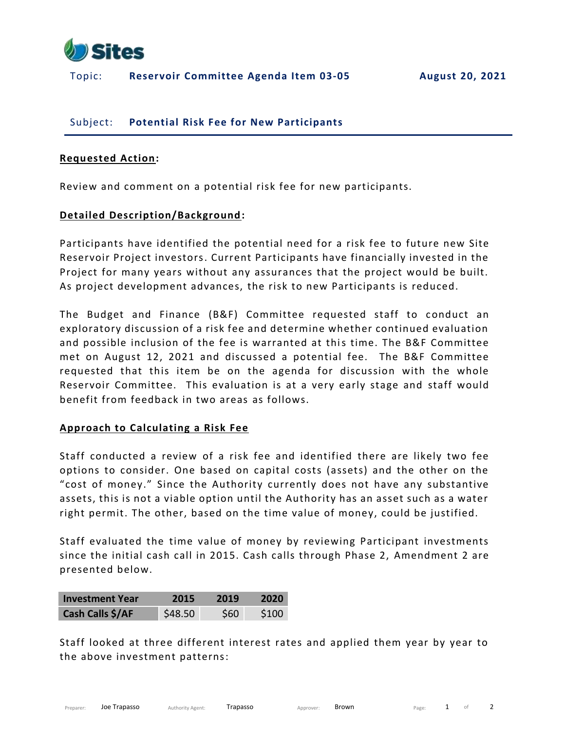

## Topic: **Reservoir Committee Agenda Item 03-05 August 20, 2021**

## Subject: **Potential Risk Fee for New Participants**

#### **Requested Action:**

Review and comment on a potential risk fee for new participants.

### **Detailed Description/Background:**

Participants have identified the potential need for a risk fee to future new Site Reservoir Project investors. Current Participants have financially invested in the Project for many years without any assurances that the project would be built. As project development advances, the risk to new Participants is reduced.

The Budget and Finance (B&F) Committee requested staff to conduct an exploratory discussion of a risk fee and determine whether continued evaluation and possible inclusion of the fee is warranted at this time. The B&F Committee met on August 12, 2021 and discussed a potential fee. The B&F Committee requested that this item be on the agenda for discussion with the whole Reservoir Committee. This evaluation is at a very early stage and staff would benefit from feedback in two areas as follows.

### **Approach to Calculating a Risk Fee**

Staff conducted a review of a risk fee and identified there are likely two fee options to consider. One based on capital costs (assets) and the other on the "cost of money." Since the Authority currently does not have any substantive assets, this is not a viable option until the Authority has an asset such as a water right permit. The other, based on the time value of money, could be justified.

Staff evaluated the time value of money by reviewing Participant investments since the initial cash call in 2015. Cash calls through Phase 2, Amendment 2 are presented below.

| <b>Investment Year</b> | 2015    | 2019       | 2020             |
|------------------------|---------|------------|------------------|
| Cash Calls \$/AF       | \$48.50 | <b>S60</b> | S <sub>100</sub> |

Staff looked at three different interest rates and applied them year by year to the above investment patterns: